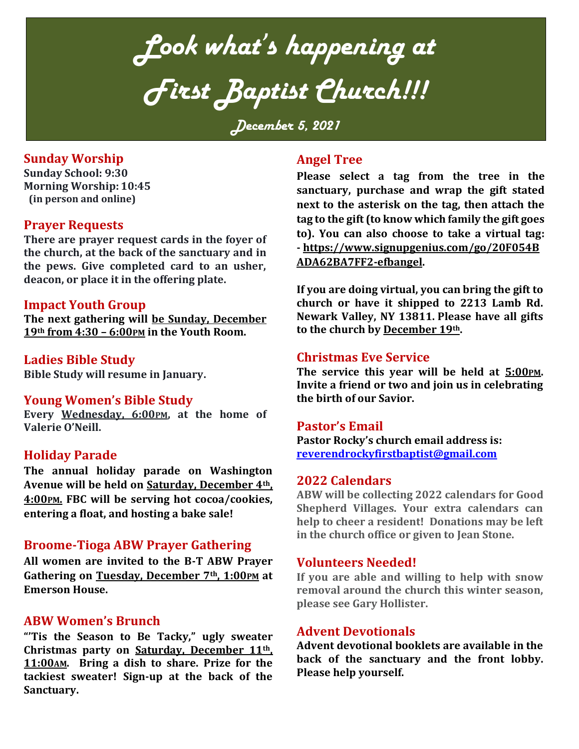*Look what's happening at First Baptist Church!!!*

*December 5, 2021*

## **Sunday Worship**

**Sunday School: 9:30 Morning Worship: 10:45 (in person and online)**

## **Prayer Requests**

**There are prayer request cards in the foyer of the church, at the back of the sanctuary and in the pews. Give completed card to an usher, deacon, or place it in the offering plate.**

### **Impact Youth Group**

**The next gathering will be Sunday, December 19th from 4:30 – 6:00PM in the Youth Room.** 

### **Ladies Bible Study**

**Bible Study will resume in January.** 

### **Young Women's Bible Study**

**Every Wednesday, 6:00PM, at the home of Valerie O'Neill.**

### **Holiday Parade**

**The annual holiday parade on Washington Avenue will be held on Saturday, December 4th, 4:00PM. FBC will be serving hot cocoa/cookies, entering a float, and hosting a bake sale!**

### **Broome-Tioga ABW Prayer Gathering**

**All women are invited to the B-T ABW Prayer Gathering on Tuesday, December 7th, 1:00PM at Emerson House.**

## **ABW Women's Brunch**

**"'Tis the Season to Be Tacky," ugly sweater Christmas party on Saturday, December 11th, 11:00AM. Bring a dish to share. Prize for the tackiest sweater! Sign-up at the back of the Sanctuary.**

# **Angel Tree**

**Please select a tag from the tree in the sanctuary, purchase and wrap the gift stated next to the asterisk on the tag, then attach the tag to the gift (to know which family the gift goes to). You can also choose to take a virtual tag: - [https://www.signupgenius.com/go/20F054B](https://www.signupgenius.com/go/20F054BADA62BA7FF2-efbangel) [ADA62BA7FF2-efbangel.](https://www.signupgenius.com/go/20F054BADA62BA7FF2-efbangel)**

**If you are doing virtual, you can bring the gift to church or have it shipped to 2213 Lamb Rd. Newark Valley, NY 13811. Please have all gifts to the church by December 19th.**

### **Christmas Eve Service**

**The service this year will be held at 5:00PM. Invite a friend or two and join us in celebrating the birth of our Savior.**

### **Pastor's Email**

**Pastor Rocky's church email address is: [reverendrockyfirstbaptist@gmail.com](mailto:reverendrockyfirstbaptist@gmail.com)**

### **2022 Calendars**

**ABW will be collecting 2022 calendars for Good Shepherd Villages. Your extra calendars can help to cheer a resident! Donations may be left in the church office or given to Jean Stone.** 

### **Volunteers Needed!**

**If you are able and willing to help with snow removal around the church this winter season, please see Gary Hollister.**

## **Advent Devotionals**

**Advent devotional booklets are available in the back of the sanctuary and the front lobby. Please help yourself.**